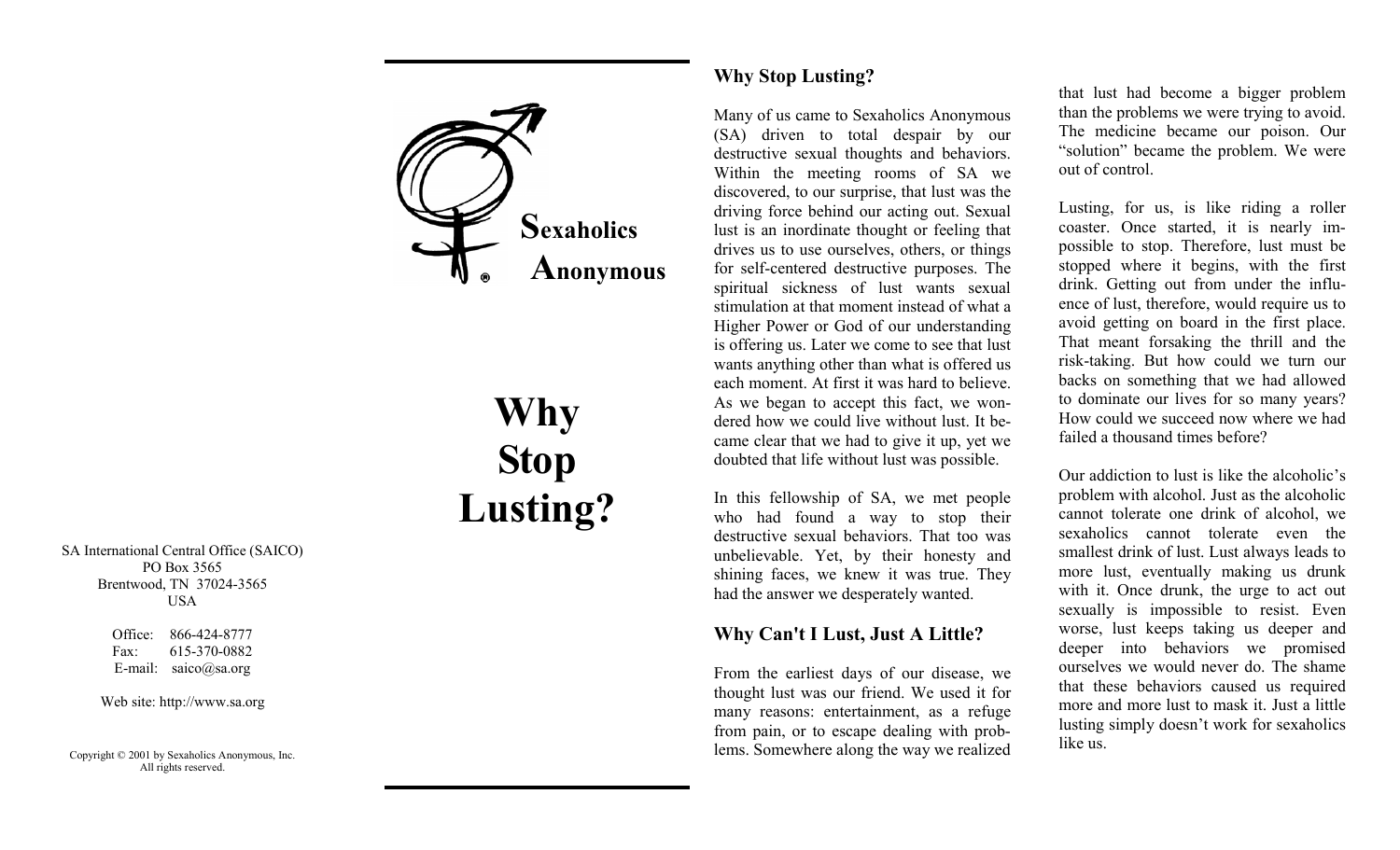

# **Why Stop Lusting?**

SA International Central Office (SAICO) PO Box 3565 Brentwood, TN 37024-3565 USA

> Office: 866-424-8777 Fax: 615-370-0882 E-mail: saico@sa.org

Web site: http://www.sa.org

Copyright © 2001 by Sexaholics Anonymous, Inc. All rights reserved.

## **Why Stop Lusting?**

Many of us came to Sexaholics Anonymous (SA) driven to total despair by our destructive sexual thoughts and behaviors. Within the meeting rooms of SA we discovered, to our surprise, that lust was the driving force behind our acting out. Sexual lust is an inordinate thought or feeling that drives us to use ourselves, others, or things for self-centered destructive purposes. The spiritual sickness of lust wants sexual stimulation at that moment instead of what a Higher Power or God of our understanding is offering us. Later we come to see that lust wants anything other than what is offered us each moment. At first it was hard to believe. As we began to accept this fact, we wondered how we could live without lust. It became clear that we had to give it up, yet we doubted that life without lust was possible.

In this fellowship of SA, we met people who had found a way to stop their destructive sexual behaviors. That too was unbelievable. Yet, by their honesty and shining faces, we knew it was true. They had the answer we desperately wanted.

## **Why Can't I Lust, Just A Little?**

From the earliest days of our disease, we thought lust was our friend. We used it for many reasons: entertainment, as a refuge from pain, or to escape dealing with problems. Somewhere along the way we realized

that lust had become a bigger problem than the problems we were trying to avoid. The medicine became our poison. Our "solution" became the problem. We were out of control.

Lusting, for us, is like riding a roller coaster. Once started, it is nearly impossible to stop. Therefore, lust must be stopped where it begins, with the first drink. Getting out from under the influence of lust, therefore, would require us to avoid getting on board in the first place. That meant forsaking the thrill and the risk-taking. But how could we turn our backs on something that we had allowed to dominate our lives for so many years? How could we succeed now where we had failed a thousand times before?

Our addiction to lust is like the alcoholic's problem with alcohol. Just as the alcoholic cannot tolerate one drink of alcohol, we sexaholics cannot tolerate even the smallest drink of lust. Lust always leads to more lust, eventually making us drunk with it. Once drunk, the urge to act out sexually is impossible to resist. Even worse, lust keeps taking us deeper and deeper into behaviors we promised ourselves we would never do. The shame that these behaviors caused us required more and more lust to mask it. Just a little lusting simply doesn't work for sexaholics like us.